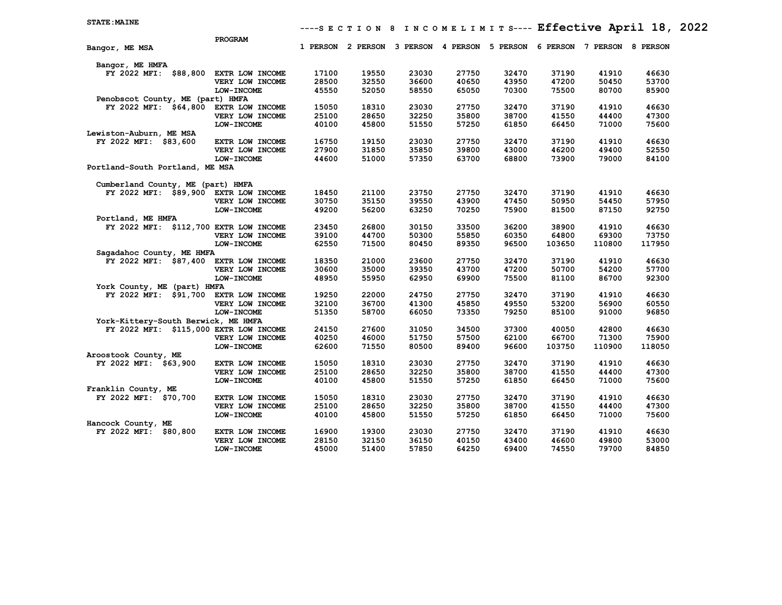|                                        | PROGRAM           |       |                   |          |       |                   |          |          |          |
|----------------------------------------|-------------------|-------|-------------------|----------|-------|-------------------|----------|----------|----------|
| Bangor, ME MSA                         |                   |       | 1 PERSON 2 PERSON | 3 PERSON |       | 4 PERSON 5 PERSON | 6 PERSON | 7 PERSON | 8 PERSON |
| Bangor, ME HMFA                        |                   |       |                   |          |       |                   |          |          |          |
| FY 2022 MFI: \$88,800                  | EXTR LOW INCOME   | 17100 | 19550             | 23030    | 27750 | 32470             | 37190    | 41910    | 46630    |
|                                        | VERY LOW INCOME   | 28500 | 32550             | 36600    | 40650 | 43950             | 47200    | 50450    | 53700    |
|                                        | LOW-INCOME        | 45550 | 52050             | 58550    | 65050 | 70300             | 75500    | 80700    | 85900    |
| Penobscot County, ME (part) HMFA       |                   |       |                   |          |       |                   |          |          |          |
| FY 2022 MFI: \$64,800                  | EXTR LOW INCOME   | 15050 | 18310             | 23030    | 27750 | 32470             | 37190    | 41910    | 46630    |
|                                        | VERY LOW INCOME   | 25100 | 28650             | 32250    | 35800 | 38700             | 41550    | 44400    | 47300    |
|                                        | LOW-INCOME        | 40100 | 45800             | 51550    | 57250 | 61850             | 66450    | 71000    | 75600    |
| Lewiston-Auburn, ME MSA                |                   |       |                   |          |       |                   |          |          |          |
| FY 2022 MFI: \$83,600                  | EXTR LOW INCOME   | 16750 | 19150             | 23030    | 27750 | 32470             | 37190    | 41910    | 46630    |
|                                        | VERY LOW INCOME   | 27900 | 31850             | 35850    | 39800 | 43000             | 46200    | 49400    | 52550    |
|                                        | LOW-INCOME        | 44600 | 51000             | 57350    | 63700 | 68800             | 73900    | 79000    | 84100    |
| Portland-South Portland, ME MSA        |                   |       |                   |          |       |                   |          |          |          |
| Cumberland County, ME (part) HMFA      |                   |       |                   |          |       |                   |          |          |          |
| FY 2022 MFI: \$89,900 EXTR LOW INCOME  |                   | 18450 | 21100             | 23750    | 27750 | 32470             | 37190    | 41910    | 46630    |
|                                        | VERY LOW INCOME   | 30750 | 35150             | 39550    | 43900 | 47450             | 50950    | 54450    | 57950    |
|                                        | LOW-INCOME        | 49200 | 56200             | 63250    | 70250 | 75900             | 81500    | 87150    | 92750    |
| Portland, ME HMFA                      |                   |       |                   |          |       |                   |          |          |          |
| FY 2022 MFI: \$112,700 EXTR LOW INCOME |                   | 23450 | 26800             | 30150    | 33500 | 36200             | 38900    | 41910    | 46630    |
|                                        | VERY LOW INCOME   | 39100 | 44700             | 50300    | 55850 | 60350             | 64800    | 69300    | 73750    |
|                                        | LOW-INCOME        | 62550 | 71500             | 80450    | 89350 | 96500             | 103650   | 110800   | 117950   |
| Sagadahoc County, ME HMFA              |                   |       |                   |          |       |                   |          |          |          |
| FY 2022 MFI: \$87,400 EXTR LOW INCOME  |                   | 18350 | 21000             | 23600    | 27750 | 32470             | 37190    | 41910    | 46630    |
|                                        | VERY LOW INCOME   | 30600 | 35000             | 39350    | 43700 | 47200             | 50700    | 54200    | 57700    |
|                                        | <b>LOW-INCOME</b> | 48950 | 55950             | 62950    | 69900 | 75500             | 81100    | 86700    | 92300    |
| York County, ME (part) HMFA            |                   |       |                   |          |       |                   |          |          |          |
| FY 2022 MFI: \$91,700 EXTR LOW INCOME  |                   | 19250 | 22000             | 24750    | 27750 | 32470             | 37190    | 41910    | 46630    |
|                                        | VERY LOW INCOME   | 32100 | 36700             | 41300    | 45850 | 49550             | 53200    | 56900    | 60550    |
|                                        | <b>LOW-INCOME</b> | 51350 | 58700             | 66050    | 73350 | 79250             | 85100    | 91000    | 96850    |
| York-Kittery-South Berwick, ME HMFA    |                   |       |                   |          |       |                   |          |          |          |
| FY 2022 MFI: \$115,000 EXTR LOW INCOME |                   | 24150 | 27600             | 31050    | 34500 | 37300             | 40050    | 42800    | 46630    |
|                                        | VERY LOW INCOME   | 40250 | 46000             | 51750    | 57500 | 62100             | 66700    | 71300    | 75900    |
|                                        | LOW-INCOME        | 62600 | 71550             | 80500    | 89400 | 96600             | 103750   | 110900   | 118050   |
| Aroostook County, ME                   |                   |       |                   |          |       |                   |          |          |          |
| FY 2022 MFI: \$63,900                  | EXTR LOW INCOME   | 15050 | 18310             | 23030    | 27750 | 32470             | 37190    | 41910    | 46630    |
|                                        | VERY LOW INCOME   | 25100 | 28650             | 32250    | 35800 | 38700             | 41550    | 44400    | 47300    |
|                                        | LOW-INCOME        | 40100 | 45800             | 51550    | 57250 | 61850             | 66450    | 71000    | 75600    |
| Franklin County, ME                    |                   |       |                   |          |       |                   |          |          |          |
| FY 2022 MFI: \$70,700                  | EXTR LOW INCOME   | 15050 | 18310             | 23030    | 27750 | 32470             | 37190    | 41910    | 46630    |
|                                        | VERY LOW INCOME   | 25100 | 28650             | 32250    | 35800 | 38700             | 41550    | 44400    | 47300    |
|                                        | LOW-INCOME        | 40100 | 45800             | 51550    | 57250 | 61850             | 66450    | 71000    | 75600    |
| Hancock County, ME                     |                   |       |                   |          |       |                   |          |          |          |
| FY 2022 MFI:<br>\$80,800               | EXTR LOW INCOME   | 16900 | 19300             | 23030    | 27750 | 32470             | 37190    | 41910    | 46630    |
|                                        | VERY LOW INCOME   | 28150 | 32150             | 36150    | 40150 | 43400             | 46600    | 49800    | 53000    |
|                                        | LOW-INCOME        | 45000 | 51400             | 57850    | 64250 | 69400             | 74550    | 79700    | 84850    |